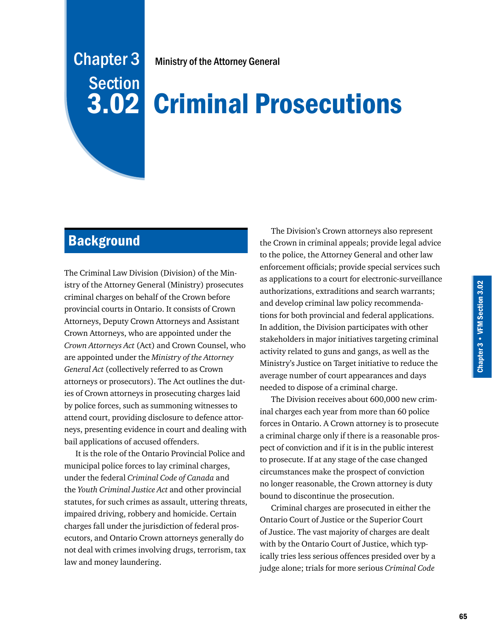# Chapter 3 **Section** 3.02

Ministry of the Attorney General

# Criminal Prosecutions

## **Background**

The Criminal Law Division (Division) of the Ministry of the Attorney General (Ministry) prosecutes criminal charges on behalf of the Crown before provincial courts in Ontario. It consists of Crown Attorneys, Deputy Crown Attorneys and Assistant Crown Attorneys, who are appointed under the *Crown Attorneys Act* (Act) and Crown Counsel, who are appointed under the *Ministry of the Attorney General Act* (collectively referred to as Crown attorneys or prosecutors). The Act outlines the duties of Crown attorneys in prosecuting charges laid by police forces, such as summoning witnesses to attend court, providing disclosure to defence attorneys, presenting evidence in court and dealing with bail applications of accused offenders.

It is the role of the Ontario Provincial Police and municipal police forces to lay criminal charges, under the federal *Criminal Code of Canada* and the *Youth Criminal Justice Act* and other provincial statutes, for such crimes as assault, uttering threats, impaired driving, robbery and homicide. Certain charges fall under the jurisdiction of federal prosecutors, and Ontario Crown attorneys generally do not deal with crimes involving drugs, terrorism, tax law and money laundering.

The Division's Crown attorneys also represent the Crown in criminal appeals; provide legal advice to the police, the Attorney General and other law enforcement officials; provide special services such as applications to a court for electronic-surveillance authorizations, extraditions and search warrants; and develop criminal law policy recommendations for both provincial and federal applications. In addition, the Division participates with other stakeholders in major initiatives targeting criminal activity related to guns and gangs, as well as the Ministry's Justice on Target initiative to reduce the average number of court appearances and days needed to dispose of a criminal charge.

The Division receives about 600,000 new criminal charges each year from more than 60 police forces in Ontario. A Crown attorney is to prosecute a criminal charge only if there is a reasonable prospect of conviction and if it is in the public interest to prosecute. If at any stage of the case changed circumstances make the prospect of conviction no longer reasonable, the Crown attorney is duty bound to discontinue the prosecution.

Criminal charges are prosecuted in either the Ontario Court of Justice or the Superior Court of Justice. The vast majority of charges are dealt with by the Ontario Court of Justice, which typically tries less serious offences presided over by a judge alone; trials for more serious *Criminal Code*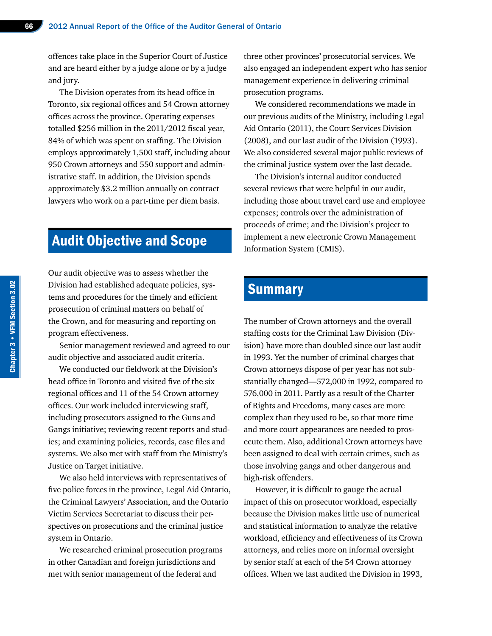offences take place in the Superior Court of Justice and are heard either by a judge alone or by a judge and jury.

The Division operates from its head office in Toronto, six regional offices and 54 Crown attorney offices across the province. Operating expenses totalled \$256 million in the 2011/2012 fiscal year, 84% of which was spent on staffing. The Division employs approximately 1,500 staff, including about 950 Crown attorneys and 550 support and administrative staff. In addition, the Division spends approximately \$3.2 million annually on contract lawyers who work on a part-time per diem basis.

### Audit Objective and Scope

Our audit objective was to assess whether the Division had established adequate policies, systems and procedures for the timely and efficient prosecution of criminal matters on behalf of the Crown, and for measuring and reporting on program effectiveness.

Senior management reviewed and agreed to our audit objective and associated audit criteria.

We conducted our fieldwork at the Division's head office in Toronto and visited five of the six regional offices and 11 of the 54 Crown attorney offices. Our work included interviewing staff, including prosecutors assigned to the Guns and Gangs initiative; reviewing recent reports and studies; and examining policies, records, case files and systems. We also met with staff from the Ministry's Justice on Target initiative.

We also held interviews with representatives of five police forces in the province, Legal Aid Ontario, the Criminal Lawyers' Association, and the Ontario Victim Services Secretariat to discuss their perspectives on prosecutions and the criminal justice system in Ontario.

We researched criminal prosecution programs in other Canadian and foreign jurisdictions and met with senior management of the federal and

three other provinces' prosecutorial services. We also engaged an independent expert who has senior management experience in delivering criminal prosecution programs.

We considered recommendations we made in our previous audits of the Ministry, including Legal Aid Ontario (2011), the Court Services Division (2008), and our last audit of the Division (1993). We also considered several major public reviews of the criminal justice system over the last decade.

The Division's internal auditor conducted several reviews that were helpful in our audit, including those about travel card use and employee expenses; controls over the administration of proceeds of crime; and the Division's project to implement a new electronic Crown Management Information System (CMIS).

### **Summary**

The number of Crown attorneys and the overall staffing costs for the Criminal Law Division (Division) have more than doubled since our last audit in 1993. Yet the number of criminal charges that Crown attorneys dispose of per year has not substantially changed—572,000 in 1992, compared to 576,000 in 2011. Partly as a result of the Charter of Rights and Freedoms, many cases are more complex than they used to be, so that more time and more court appearances are needed to prosecute them. Also, additional Crown attorneys have been assigned to deal with certain crimes, such as those involving gangs and other dangerous and high-risk offenders.

However, it is difficult to gauge the actual impact of this on prosecutor workload, especially because the Division makes little use of numerical and statistical information to analyze the relative workload, efficiency and effectiveness of its Crown attorneys, and relies more on informal oversight by senior staff at each of the 54 Crown attorney offices. When we last audited the Division in 1993,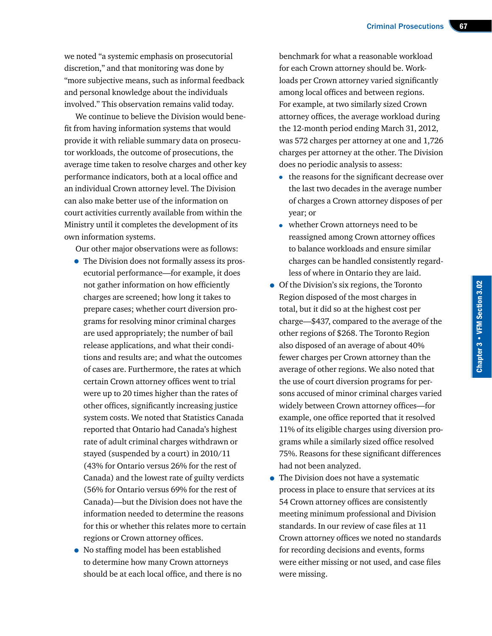we noted "a systemic emphasis on prosecutorial discretion," and that monitoring was done by "more subjective means, such as informal feedback and personal knowledge about the individuals involved." This observation remains valid today.

We continue to believe the Division would benefit from having information systems that would provide it with reliable summary data on prosecutor workloads, the outcome of prosecutions, the average time taken to resolve charges and other key performance indicators, both at a local office and an individual Crown attorney level. The Division can also make better use of the information on court activities currently available from within the Ministry until it completes the development of its own information systems.

Our other major observations were as follows:

- The Division does not formally assess its prosecutorial performance—for example, it does not gather information on how efficiently charges are screened; how long it takes to prepare cases; whether court diversion programs for resolving minor criminal charges are used appropriately; the number of bail release applications, and what their conditions and results are; and what the outcomes of cases are. Furthermore, the rates at which certain Crown attorney offices went to trial were up to 20 times higher than the rates of other offices, significantly increasing justice system costs. We noted that Statistics Canada reported that Ontario had Canada's highest rate of adult criminal charges withdrawn or stayed (suspended by a court) in 2010/11 (43% for Ontario versus 26% for the rest of Canada) and the lowest rate of guilty verdicts (56% for Ontario versus 69% for the rest of Canada)—but the Division does not have the information needed to determine the reasons for this or whether this relates more to certain regions or Crown attorney offices.
- No staffing model has been established to determine how many Crown attorneys should be at each local office, and there is no

benchmark for what a reasonable workload for each Crown attorney should be. Workloads per Crown attorney varied significantly among local offices and between regions. For example, at two similarly sized Crown attorney offices, the average workload during the 12-month period ending March 31, 2012, was 572 charges per attorney at one and 1,726 charges per attorney at the other. The Division does no periodic analysis to assess:

- the reasons for the significant decrease over the last two decades in the average number of charges a Crown attorney disposes of per year; or
- whether Crown attorneys need to be reassigned among Crown attorney offices to balance workloads and ensure similar charges can be handled consistently regardless of where in Ontario they are laid.
- Of the Division's six regions, the Toronto Region disposed of the most charges in total, but it did so at the highest cost per charge—\$437, compared to the average of the other regions of \$268. The Toronto Region also disposed of an average of about 40% fewer charges per Crown attorney than the average of other regions. We also noted that the use of court diversion programs for persons accused of minor criminal charges varied widely between Crown attorney offices—for example, one office reported that it resolved 11% of its eligible charges using diversion programs while a similarly sized office resolved 75%. Reasons for these significant differences had not been analyzed.
- The Division does not have a systematic process in place to ensure that services at its 54 Crown attorney offices are consistently meeting minimum professional and Division standards. In our review of case files at 11 Crown attorney offices we noted no standards for recording decisions and events, forms were either missing or not used, and case files were missing.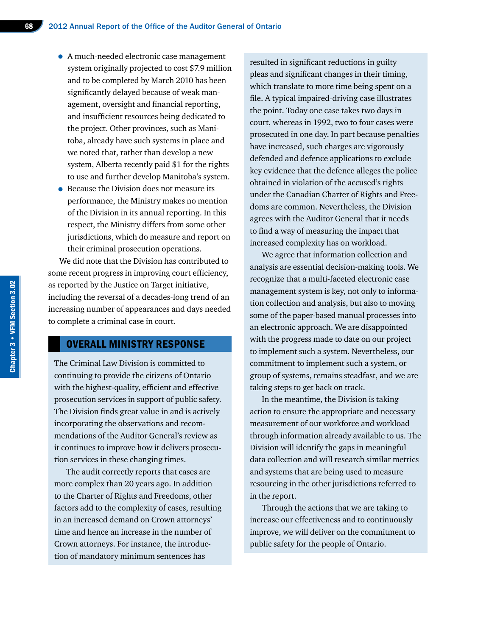- A much-needed electronic case management system originally projected to cost \$7.9 million and to be completed by March 2010 has been significantly delayed because of weak management, oversight and financial reporting, and insufficient resources being dedicated to the project. Other provinces, such as Manitoba, already have such systems in place and we noted that, rather than develop a new system, Alberta recently paid \$1 for the rights to use and further develop Manitoba's system.
- Because the Division does not measure its performance, the Ministry makes no mention of the Division in its annual reporting. In this respect, the Ministry differs from some other jurisdictions, which do measure and report on their criminal prosecution operations.

We did note that the Division has contributed to some recent progress in improving court efficiency, as reported by the Justice on Target initiative, including the reversal of a decades-long trend of an increasing number of appearances and days needed to complete a criminal case in court.

#### OVERALL MINISTRY RESPONSE

The Criminal Law Division is committed to continuing to provide the citizens of Ontario with the highest-quality, efficient and effective prosecution services in support of public safety. The Division finds great value in and is actively incorporating the observations and recommendations of the Auditor General's review as it continues to improve how it delivers prosecution services in these changing times.

The audit correctly reports that cases are more complex than 20 years ago. In addition to the Charter of Rights and Freedoms, other factors add to the complexity of cases, resulting in an increased demand on Crown attorneys' time and hence an increase in the number of Crown attorneys. For instance, the introduction of mandatory minimum sentences has

resulted in significant reductions in guilty pleas and significant changes in their timing, which translate to more time being spent on a file. A typical impaired-driving case illustrates the point. Today one case takes two days in court, whereas in 1992, two to four cases were prosecuted in one day. In part because penalties have increased, such charges are vigorously defended and defence applications to exclude key evidence that the defence alleges the police obtained in violation of the accused's rights under the Canadian Charter of Rights and Freedoms are common. Nevertheless, the Division agrees with the Auditor General that it needs to find a way of measuring the impact that increased complexity has on workload.

We agree that information collection and analysis are essential decision-making tools. We recognize that a multi-faceted electronic case management system is key, not only to information collection and analysis, but also to moving some of the paper-based manual processes into an electronic approach. We are disappointed with the progress made to date on our project to implement such a system. Nevertheless, our commitment to implement such a system, or group of systems, remains steadfast, and we are taking steps to get back on track.

In the meantime, the Division is taking action to ensure the appropriate and necessary measurement of our workforce and workload through information already available to us. The Division will identify the gaps in meaningful data collection and will research similar metrics and systems that are being used to measure resourcing in the other jurisdictions referred to in the report.

Through the actions that we are taking to increase our effectiveness and to continuously improve, we will deliver on the commitment to public safety for the people of Ontario.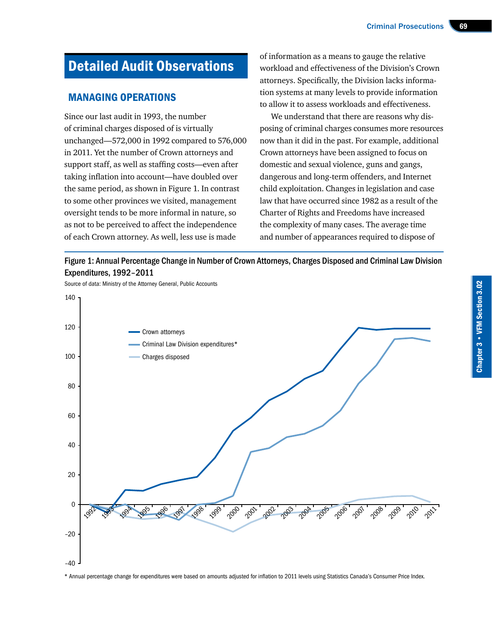Criminal Prosecutions 69

# Detailed Audit Observations

#### MANAGING OPERATIONS

Since our last audit in 1993, the number of criminal charges disposed of is virtually unchanged—572,000 in 1992 compared to 576,000 in 2011. Yet the number of Crown attorneys and support staff, as well as staffing costs—even after taking inflation into account—have doubled over the same period, as shown in Figure 1. In contrast to some other provinces we visited, management oversight tends to be more informal in nature, so as not to be perceived to affect the independence of each Crown attorney. As well, less use is made

of information as a means to gauge the relative workload and effectiveness of the Division's Crown attorneys. Specifically, the Division lacks information systems at many levels to provide information to allow it to assess workloads and effectiveness.

We understand that there are reasons why disposing of criminal charges consumes more resources now than it did in the past. For example, additional Crown attorneys have been assigned to focus on domestic and sexual violence, guns and gangs, dangerous and long-term offenders, and Internet child exploitation. Changes in legislation and case law that have occurred since 1982 as a result of the Charter of Rights and Freedoms have increased the complexity of many cases. The average time and number of appearances required to dispose of



Source of data: Ministry of the Attorney General, Public Accounts



\* Annual percentage change for expenditures were based on amounts adjusted for inflation to 2011 levels using Statistics Canada's Consumer Price Index.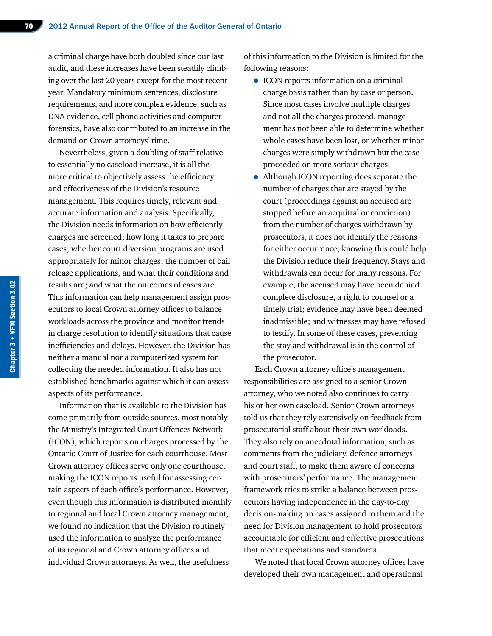a criminal charge have both doubled since our last audit, and these increases have been steadily climbing over the last 20 years except for the most recent year. Mandatory minimum sentences, disclosure requirements, and more complex evidence, such as DNA evidence, cell phone activities and computer forensics, have also contributed to an increase in the demand on Crown attorneys' time.

Nevertheless, given a doubling of staff relative to essentially no caseload increase, it is all the more critical to objectively assess the efficiency and effectiveness of the Division's resource management. This requires timely, relevant and accurate information and analysis. Specifically, the Division needs information on how efficiently charges are screened; how long it takes to prepare cases; whether court diversion programs are used appropriately for minor charges; the number of bail release applications, and what their conditions and results are; and what the outcomes of cases are. This information can help management assign prosecutors to local Crown attorney offices to balance workloads across the province and monitor trends in charge resolution to identify situations that cause inefficiencies and delays. However, the Division has neither a manual nor a computerized system for collecting the needed information. It also has not established benchmarks against which it can assess aspects of its performance.

Information that is available to the Division has come primarily from outside sources, most notably the Ministry's Integrated Court Offences Network (ICON), which reports on charges processed by the Ontario Court of Justice for each courthouse. Most Crown attorney offices serve only one courthouse, making the ICON reports useful for assessing certain aspects of each office's performance. However, even though this information is distributed monthly to regional and local Crown attorney management, we found no indication that the Division routinely used the information to analyze the performance of its regional and Crown attorney offices and individual Crown attorneys. As well, the usefulness

of this information to the Division is limited for the following reasons:

- ICON reports information on a criminal charge basis rather than by case or person. Since most cases involve multiple charges and not all the charges proceed, management has not been able to determine whether whole cases have been lost, or whether minor charges were simply withdrawn but the case proceeded on more serious charges.
- Although ICON reporting does separate the number of charges that are stayed by the court (proceedings against an accused are stopped before an acquittal or conviction) from the number of charges withdrawn by prosecutors, it does not identify the reasons for either occurrence; knowing this could help the Division reduce their frequency. Stays and withdrawals can occur for many reasons. For example, the accused may have been denied complete disclosure, a right to counsel or a timely trial; evidence may have been deemed inadmissible; and witnesses may have refused to testify. In some of these cases, preventing the stay and withdrawal is in the control of the prosecutor.

Each Crown attorney office's management responsibilities are assigned to a senior Crown attorney, who we noted also continues to carry his or her own caseload. Senior Crown attorneys told us that they rely extensively on feedback from prosecutorial staff about their own workloads. They also rely on anecdotal information, such as comments from the judiciary, defence attorneys and court staff, to make them aware of concerns with prosecutors' performance. The management framework tries to strike a balance between prosecutors having independence in the day-to-day decision-making on cases assigned to them and the need for Division management to hold prosecutors accountable for efficient and effective prosecutions that meet expectations and standards.

We noted that local Crown attorney offices have developed their own management and operational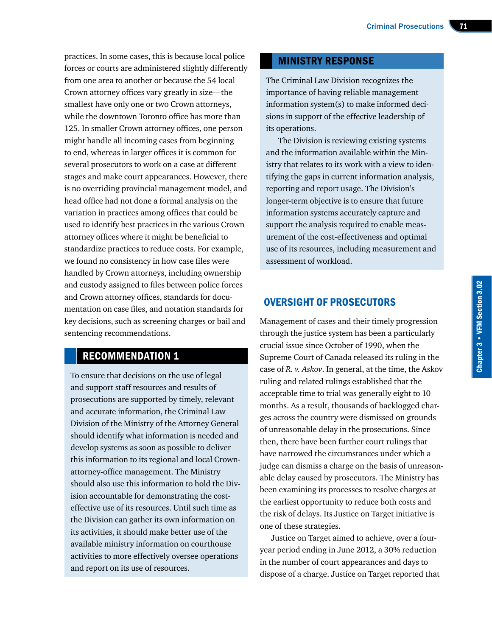practices. In some cases, this is because local police forces or courts are administered slightly differently from one area to another or because the 54 local Crown attorney offices vary greatly in size—the smallest have only one or two Crown attorneys, while the downtown Toronto office has more than 125. In smaller Crown attorney offices, one person might handle all incoming cases from beginning to end, whereas in larger offices it is common for several prosecutors to work on a case at different stages and make court appearances. However, there is no overriding provincial management model, and head office had not done a formal analysis on the variation in practices among offices that could be used to identify best practices in the various Crown attorney offices where it might be beneficial to standardize practices to reduce costs. For example, we found no consistency in how case files were handled by Crown attorneys, including ownership and custody assigned to files between police forces and Crown attorney offices, standards for documentation on case files, and notation standards for key decisions, such as screening charges or bail and sentencing recommendations.

#### RECOMMENDATION 1

To ensure that decisions on the use of legal and support staff resources and results of prosecutions are supported by timely, relevant and accurate information, the Criminal Law Division of the Ministry of the Attorney General should identify what information is needed and develop systems as soon as possible to deliver this information to its regional and local Crownattorney-office management. The Ministry should also use this information to hold the Division accountable for demonstrating the costeffective use of its resources. Until such time as the Division can gather its own information on its activities, it should make better use of the available ministry information on courthouse activities to more effectively oversee operations and report on its use of resources.

#### MINISTRY RESPONSE

The Criminal Law Division recognizes the importance of having reliable management information system(s) to make informed decisions in support of the effective leadership of its operations.

The Division is reviewing existing systems and the information available within the Ministry that relates to its work with a view to identifying the gaps in current information analysis, reporting and report usage. The Division's longer-term objective is to ensure that future information systems accurately capture and support the analysis required to enable measurement of the cost-effectiveness and optimal use of its resources, including measurement and assessment of workload.

#### OVERSIGHT OF PROSECUTORS

Management of cases and their timely progression through the justice system has been a particularly crucial issue since October of 1990, when the Supreme Court of Canada released its ruling in the case of *R. v. Askov*. In general, at the time, the Askov ruling and related rulings established that the acceptable time to trial was generally eight to 10 months. As a result, thousands of backlogged charges across the country were dismissed on grounds of unreasonable delay in the prosecutions. Since then, there have been further court rulings that have narrowed the circumstances under which a judge can dismiss a charge on the basis of unreasonable delay caused by prosecutors. The Ministry has been examining its processes to resolve charges at the earliest opportunity to reduce both costs and the risk of delays. Its Justice on Target initiative is one of these strategies.

Justice on Target aimed to achieve, over a fouryear period ending in June 2012, a 30% reduction in the number of court appearances and days to dispose of a charge. Justice on Target reported that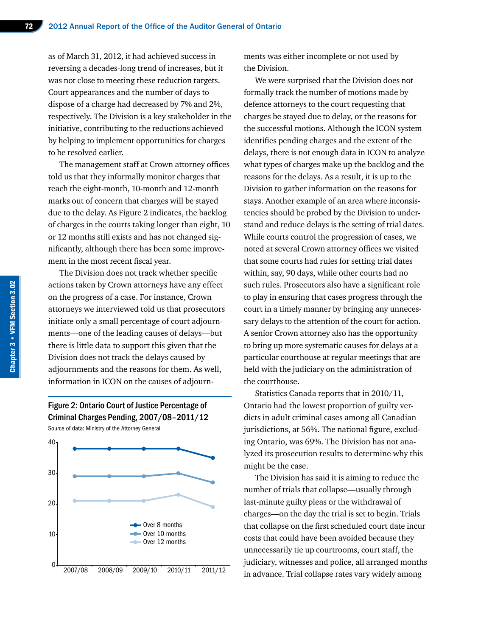as of March 31, 2012, it had achieved success in reversing a decades-long trend of increases, but it was not close to meeting these reduction targets. Court appearances and the number of days to dispose of a charge had decreased by 7% and 2%, respectively. The Division is a key stakeholder in the initiative, contributing to the reductions achieved by helping to implement opportunities for charges to be resolved earlier.

The management staff at Crown attorney offices told us that they informally monitor charges that reach the eight-month, 10-month and 12-month marks out of concern that charges will be stayed due to the delay. As Figure 2 indicates, the backlog of charges in the courts taking longer than eight, 10 or 12 months still exists and has not changed significantly, although there has been some improvement in the most recent fiscal year.

The Division does not track whether specific actions taken by Crown attorneys have any effect on the progress of a case. For instance, Crown attorneys we interviewed told us that prosecutors initiate only a small percentage of court adjournments—one of the leading causes of delays—but there is little data to support this given that the Division does not track the delays caused by adjournments and the reasons for them. As well, information in ICON on the causes of adjourn-

Figure 2: Ontario Court of Justice Percentage of Criminal Charges Pending, 2007/08–2011/12 Source of data: Ministry of the Attorney General



ments was either incomplete or not used by the Division.

We were surprised that the Division does not formally track the number of motions made by defence attorneys to the court requesting that charges be stayed due to delay, or the reasons for the successful motions. Although the ICON system identifies pending charges and the extent of the delays, there is not enough data in ICON to analyze what types of charges make up the backlog and the reasons for the delays. As a result, it is up to the Division to gather information on the reasons for stays. Another example of an area where inconsistencies should be probed by the Division to understand and reduce delays is the setting of trial dates. While courts control the progression of cases, we noted at several Crown attorney offices we visited that some courts had rules for setting trial dates within, say, 90 days, while other courts had no such rules. Prosecutors also have a significant role to play in ensuring that cases progress through the court in a timely manner by bringing any unnecessary delays to the attention of the court for action. A senior Crown attorney also has the opportunity to bring up more systematic causes for delays at a particular courthouse at regular meetings that are held with the judiciary on the administration of the courthouse.

Statistics Canada reports that in 2010/11, Ontario had the lowest proportion of guilty verdicts in adult criminal cases among all Canadian jurisdictions, at 56%. The national figure, excluding Ontario, was 69%. The Division has not analyzed its prosecution results to determine why this might be the case.

The Division has said it is aiming to reduce the number of trials that collapse—usually through last-minute guilty pleas or the withdrawal of charges—on the day the trial is set to begin. Trials that collapse on the first scheduled court date incur costs that could have been avoided because they unnecessarily tie up courtrooms, court staff, the judiciary, witnesses and police, all arranged months in advance. Trial collapse rates vary widely among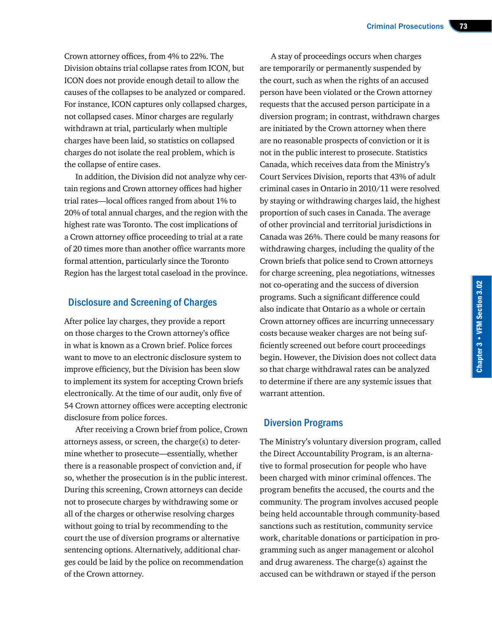Crown attorney offices, from 4% to 22%. The Division obtains trial collapse rates from ICON, but ICON does not provide enough detail to allow the causes of the collapses to be analyzed or compared. For instance, ICON captures only collapsed charges, not collapsed cases. Minor charges are regularly withdrawn at trial, particularly when multiple charges have been laid, so statistics on collapsed charges do not isolate the real problem, which is the collapse of entire cases.

In addition, the Division did not analyze why certain regions and Crown attorney offices had higher trial rates—local offices ranged from about 1% to 20% of total annual charges, and the region with the highest rate was Toronto. The cost implications of a Crown attorney office proceeding to trial at a rate of 20 times more than another office warrants more formal attention, particularly since the Toronto Region has the largest total caseload in the province.

#### Disclosure and Screening of Charges

After police lay charges, they provide a report on those charges to the Crown attorney's office in what is known as a Crown brief. Police forces want to move to an electronic disclosure system to improve efficiency, but the Division has been slow to implement its system for accepting Crown briefs electronically. At the time of our audit, only five of 54 Crown attorney offices were accepting electronic disclosure from police forces.

After receiving a Crown brief from police, Crown attorneys assess, or screen, the charge(s) to determine whether to prosecute—essentially, whether there is a reasonable prospect of conviction and, if so, whether the prosecution is in the public interest. During this screening, Crown attorneys can decide not to prosecute charges by withdrawing some or all of the charges or otherwise resolving charges without going to trial by recommending to the court the use of diversion programs or alternative sentencing options. Alternatively, additional charges could be laid by the police on recommendation of the Crown attorney.

A stay of proceedings occurs when charges are temporarily or permanently suspended by the court, such as when the rights of an accused person have been violated or the Crown attorney requests that the accused person participate in a diversion program; in contrast, withdrawn charges are initiated by the Crown attorney when there are no reasonable prospects of conviction or it is not in the public interest to prosecute. Statistics Canada, which receives data from the Ministry's Court Services Division, reports that 43% of adult criminal cases in Ontario in 2010/11 were resolved by staying or withdrawing charges laid, the highest proportion of such cases in Canada. The average of other provincial and territorial jurisdictions in Canada was 26%. There could be many reasons for withdrawing charges, including the quality of the Crown briefs that police send to Crown attorneys for charge screening, plea negotiations, witnesses not co-operating and the success of diversion programs. Such a significant difference could also indicate that Ontario as a whole or certain Crown attorney offices are incurring unnecessary costs because weaker charges are not being sufficiently screened out before court proceedings begin. However, the Division does not collect data so that charge withdrawal rates can be analyzed to determine if there are any systemic issues that warrant attention.

#### Diversion Programs

The Ministry's voluntary diversion program, called the Direct Accountability Program, is an alternative to formal prosecution for people who have been charged with minor criminal offences. The program benefits the accused, the courts and the community. The program involves accused people being held accountable through community-based sanctions such as restitution, community service work, charitable donations or participation in programming such as anger management or alcohol and drug awareness. The charge(s) against the accused can be withdrawn or stayed if the person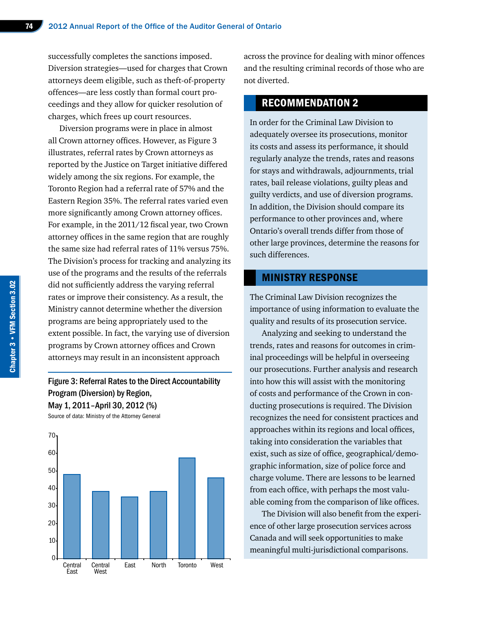successfully completes the sanctions imposed. Diversion strategies—used for charges that Crown attorneys deem eligible, such as theft-of-property offences—are less costly than formal court proceedings and they allow for quicker resolution of charges, which frees up court resources.

Diversion programs were in place in almost all Crown attorney offices. However, as Figure 3 illustrates, referral rates by Crown attorneys as reported by the Justice on Target initiative differed widely among the six regions. For example, the Toronto Region had a referral rate of 57% and the Eastern Region 35%. The referral rates varied even more significantly among Crown attorney offices. For example, in the 2011/12 fiscal year, two Crown attorney offices in the same region that are roughly the same size had referral rates of 11% versus 75%. The Division's process for tracking and analyzing its use of the programs and the results of the referrals did not sufficiently address the varying referral rates or improve their consistency. As a result, the Ministry cannot determine whether the diversion programs are being appropriately used to the extent possible. In fact, the varying use of diversion programs by Crown attorney offices and Crown attorneys may result in an inconsistent approach

#### Figure 3: Referral Rates to the Direct Accountability Program (Diversion) by Region, May 1, 2011–April 30, 2012 (%)

Source of data: Ministry of the Attorney General



across the province for dealing with minor offences and the resulting criminal records of those who are not diverted.

#### RECOMMENDATION 2

In order for the Criminal Law Division to adequately oversee its prosecutions, monitor its costs and assess its performance, it should regularly analyze the trends, rates and reasons for stays and withdrawals, adjournments, trial rates, bail release violations, guilty pleas and guilty verdicts, and use of diversion programs. In addition, the Division should compare its performance to other provinces and, where Ontario's overall trends differ from those of other large provinces, determine the reasons for such differences.

#### MINISTRY RESPONSE

The Criminal Law Division recognizes the importance of using information to evaluate the quality and results of its prosecution service.

Analyzing and seeking to understand the trends, rates and reasons for outcomes in criminal proceedings will be helpful in overseeing our prosecutions. Further analysis and research into how this will assist with the monitoring of costs and performance of the Crown in conducting prosecutions is required. The Division recognizes the need for consistent practices and approaches within its regions and local offices, taking into consideration the variables that exist, such as size of office, geographical/demographic information, size of police force and charge volume. There are lessons to be learned from each office, with perhaps the most valuable coming from the comparison of like offices.

The Division will also benefit from the experience of other large prosecution services across Canada and will seek opportunities to make meaningful multi-jurisdictional comparisons.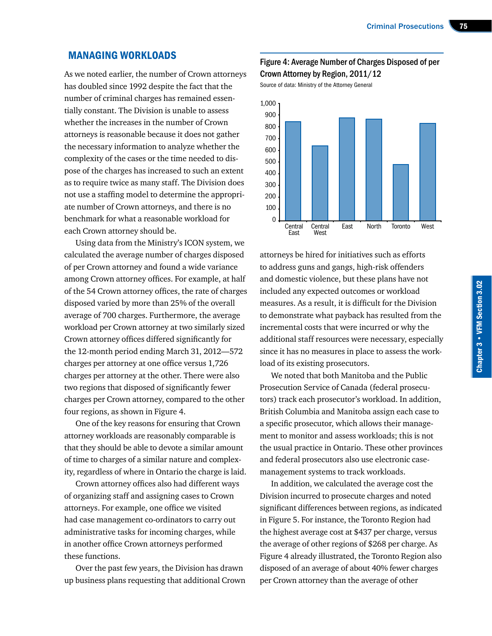#### MANAGING WORKLOADS

As we noted earlier, the number of Crown attorneys has doubled since 1992 despite the fact that the number of criminal charges has remained essentially constant. The Division is unable to assess whether the increases in the number of Crown attorneys is reasonable because it does not gather the necessary information to analyze whether the complexity of the cases or the time needed to dispose of the charges has increased to such an extent as to require twice as many staff. The Division does not use a staffing model to determine the appropriate number of Crown attorneys, and there is no benchmark for what a reasonable workload for each Crown attorney should be.

Using data from the Ministry's ICON system, we calculated the average number of charges disposed of per Crown attorney and found a wide variance among Crown attorney offices. For example, at half of the 54 Crown attorney offices, the rate of charges disposed varied by more than 25% of the overall average of 700 charges. Furthermore, the average workload per Crown attorney at two similarly sized Crown attorney offices differed significantly for the 12-month period ending March 31, 2012—572 charges per attorney at one office versus 1,726 charges per attorney at the other. There were also two regions that disposed of significantly fewer charges per Crown attorney, compared to the other four regions, as shown in Figure 4.

One of the key reasons for ensuring that Crown attorney workloads are reasonably comparable is that they should be able to devote a similar amount of time to charges of a similar nature and complexity, regardless of where in Ontario the charge is laid.

Crown attorney offices also had different ways of organizing staff and assigning cases to Crown attorneys. For example, one office we visited had case management co-ordinators to carry out administrative tasks for incoming charges, while in another office Crown attorneys performed these functions.

Over the past few years, the Division has drawn up business plans requesting that additional Crown

#### Figure 4: Average Number of Charges Disposed of per Crown Attorney by Region, 2011/12

Source of data: Ministry of the Attorney General



attorneys be hired for initiatives such as efforts to address guns and gangs, high-risk offenders and domestic violence, but these plans have not included any expected outcomes or workload measures. As a result, it is difficult for the Division to demonstrate what payback has resulted from the incremental costs that were incurred or why the additional staff resources were necessary, especially since it has no measures in place to assess the workload of its existing prosecutors.

We noted that both Manitoba and the Public Prosecution Service of Canada (federal prosecutors) track each prosecutor's workload. In addition, British Columbia and Manitoba assign each case to a specific prosecutor, which allows their management to monitor and assess workloads; this is not the usual practice in Ontario. These other provinces and federal prosecutors also use electronic casemanagement systems to track workloads.

In addition, we calculated the average cost the Division incurred to prosecute charges and noted significant differences between regions, as indicated in Figure 5. For instance, the Toronto Region had the highest average cost at \$437 per charge, versus the average of other regions of \$268 per charge. As Figure 4 already illustrated, the Toronto Region also disposed of an average of about 40% fewer charges per Crown attorney than the average of other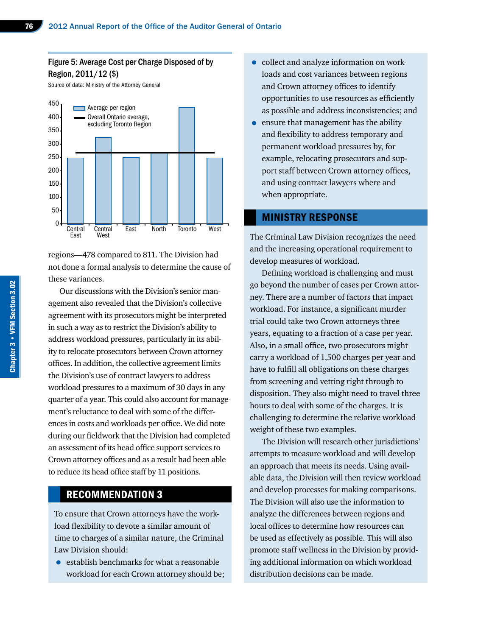#### Figure 5: Average Cost per Charge Disposed of by Region, 2011/12 (\$)

Source of data: Ministry of the Attorney General



regions—478 compared to 811. The Division had not done a formal analysis to determine the cause of these variances.

Our discussions with the Division's senior management also revealed that the Division's collective agreement with its prosecutors might be interpreted in such a way as to restrict the Division's ability to address workload pressures, particularly in its ability to relocate prosecutors between Crown attorney offices. In addition, the collective agreement limits the Division's use of contract lawyers to address workload pressures to a maximum of 30 days in any quarter of a year. This could also account for management's reluctance to deal with some of the differences in costs and workloads per office. We did note during our fieldwork that the Division had completed an assessment of its head office support services to Crown attorney offices and as a result had been able to reduce its head office staff by 11 positions.

#### RECOMMENDATION 3

To ensure that Crown attorneys have the workload flexibility to devote a similar amount of time to charges of a similar nature, the Criminal Law Division should:

• establish benchmarks for what a reasonable workload for each Crown attorney should be;

- collect and analyze information on workloads and cost variances between regions and Crown attorney offices to identify opportunities to use resources as efficiently as possible and address inconsistencies; and
- ensure that management has the ability and flexibility to address temporary and permanent workload pressures by, for example, relocating prosecutors and support staff between Crown attorney offices, and using contract lawyers where and when appropriate.

#### MINISTRY RESPONSE

The Criminal Law Division recognizes the need and the increasing operational requirement to develop measures of workload.

Defining workload is challenging and must go beyond the number of cases per Crown attorney. There are a number of factors that impact workload. For instance, a significant murder trial could take two Crown attorneys three years, equating to a fraction of a case per year. Also, in a small office, two prosecutors might carry a workload of 1,500 charges per year and have to fulfill all obligations on these charges from screening and vetting right through to disposition. They also might need to travel three hours to deal with some of the charges. It is challenging to determine the relative workload weight of these two examples.

The Division will research other jurisdictions' attempts to measure workload and will develop an approach that meets its needs. Using available data, the Division will then review workload and develop processes for making comparisons. The Division will also use the information to analyze the differences between regions and local offices to determine how resources can be used as effectively as possible. This will also promote staff wellness in the Division by providing additional information on which workload distribution decisions can be made.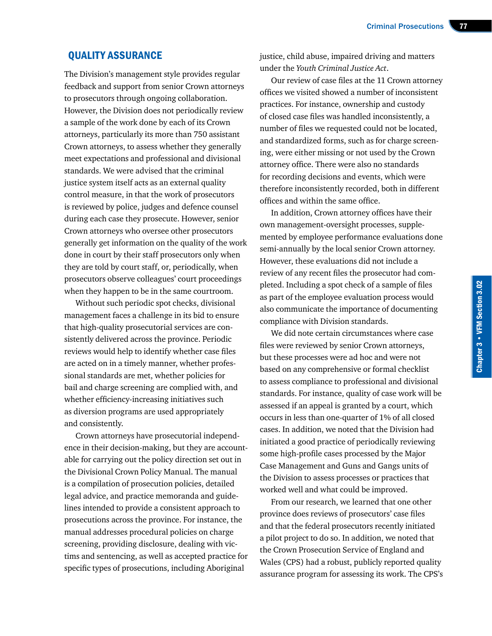#### QUALITY ASSURANCE

The Division's management style provides regular feedback and support from senior Crown attorneys to prosecutors through ongoing collaboration. However, the Division does not periodically review a sample of the work done by each of its Crown attorneys, particularly its more than 750 assistant Crown attorneys, to assess whether they generally meet expectations and professional and divisional standards. We were advised that the criminal justice system itself acts as an external quality control measure, in that the work of prosecutors is reviewed by police, judges and defence counsel during each case they prosecute. However, senior Crown attorneys who oversee other prosecutors generally get information on the quality of the work done in court by their staff prosecutors only when they are told by court staff, or, periodically, when prosecutors observe colleagues' court proceedings when they happen to be in the same courtroom.

Without such periodic spot checks, divisional management faces a challenge in its bid to ensure that high-quality prosecutorial services are consistently delivered across the province. Periodic reviews would help to identify whether case files are acted on in a timely manner, whether professional standards are met, whether policies for bail and charge screening are complied with, and whether efficiency-increasing initiatives such as diversion programs are used appropriately and consistently.

Crown attorneys have prosecutorial independence in their decision-making, but they are accountable for carrying out the policy direction set out in the Divisional Crown Policy Manual. The manual is a compilation of prosecution policies, detailed legal advice, and practice memoranda and guidelines intended to provide a consistent approach to prosecutions across the province. For instance, the manual addresses procedural policies on charge screening, providing disclosure, dealing with victims and sentencing, as well as accepted practice for specific types of prosecutions, including Aboriginal

justice, child abuse, impaired driving and matters under the *Youth Criminal Justice Act*.

Our review of case files at the 11 Crown attorney offices we visited showed a number of inconsistent practices. For instance, ownership and custody of closed case files was handled inconsistently, a number of files we requested could not be located, and standardized forms, such as for charge screening, were either missing or not used by the Crown attorney office. There were also no standards for recording decisions and events, which were therefore inconsistently recorded, both in different offices and within the same office.

In addition, Crown attorney offices have their own management-oversight processes, supplemented by employee performance evaluations done semi-annually by the local senior Crown attorney. However, these evaluations did not include a review of any recent files the prosecutor had completed. Including a spot check of a sample of files as part of the employee evaluation process would also communicate the importance of documenting compliance with Division standards.

We did note certain circumstances where case files were reviewed by senior Crown attorneys, but these processes were ad hoc and were not based on any comprehensive or formal checklist to assess compliance to professional and divisional standards. For instance, quality of case work will be assessed if an appeal is granted by a court, which occurs in less than one-quarter of 1% of all closed cases. In addition, we noted that the Division had initiated a good practice of periodically reviewing some high-profile cases processed by the Major Case Management and Guns and Gangs units of the Division to assess processes or practices that worked well and what could be improved.

From our research, we learned that one other province does reviews of prosecutors' case files and that the federal prosecutors recently initiated a pilot project to do so. In addition, we noted that the Crown Prosecution Service of England and Wales (CPS) had a robust, publicly reported quality assurance program for assessing its work. The CPS's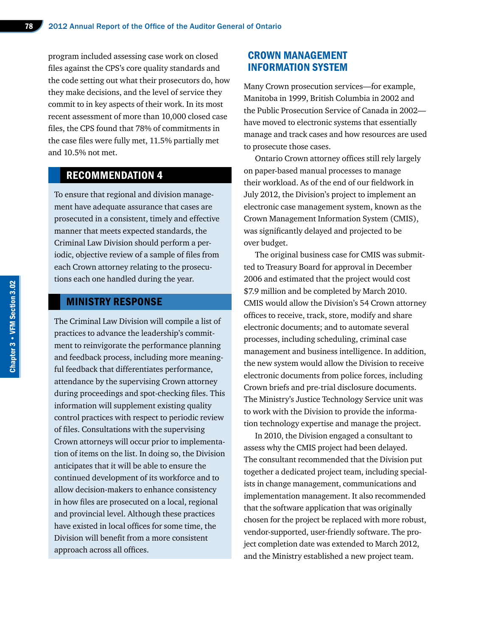program included assessing case work on closed files against the CPS's core quality standards and the code setting out what their prosecutors do, how they make decisions, and the level of service they commit to in key aspects of their work. In its most recent assessment of more than 10,000 closed case files, the CPS found that 78% of commitments in the case files were fully met, 11.5% partially met and 10.5% not met.

#### RECOMMENDATION 4

To ensure that regional and division management have adequate assurance that cases are prosecuted in a consistent, timely and effective manner that meets expected standards, the Criminal Law Division should perform a periodic, objective review of a sample of files from each Crown attorney relating to the prosecutions each one handled during the year.

#### MINISTRY RESPONSE

The Criminal Law Division will compile a list of practices to advance the leadership's commitment to reinvigorate the performance planning and feedback process, including more meaningful feedback that differentiates performance, attendance by the supervising Crown attorney during proceedings and spot-checking files. This information will supplement existing quality control practices with respect to periodic review of files. Consultations with the supervising Crown attorneys will occur prior to implementation of items on the list. In doing so, the Division anticipates that it will be able to ensure the continued development of its workforce and to allow decision-makers to enhance consistency in how files are prosecuted on a local, regional and provincial level. Although these practices have existed in local offices for some time, the Division will benefit from a more consistent approach across all offices.

#### CROWN MANAGEMENT INFORMATION SYSTEM

Many Crown prosecution services—for example, Manitoba in 1999, British Columbia in 2002 and the Public Prosecution Service of Canada in 2002 have moved to electronic systems that essentially manage and track cases and how resources are used to prosecute those cases.

Ontario Crown attorney offices still rely largely on paper-based manual processes to manage their workload. As of the end of our fieldwork in July 2012, the Division's project to implement an electronic case management system, known as the Crown Management Information System (CMIS), was significantly delayed and projected to be over budget.

The original business case for CMIS was submitted to Treasury Board for approval in December 2006 and estimated that the project would cost \$7.9 million and be completed by March 2010. CMIS would allow the Division's 54 Crown attorney offices to receive, track, store, modify and share electronic documents; and to automate several processes, including scheduling, criminal case management and business intelligence. In addition, the new system would allow the Division to receive electronic documents from police forces, including Crown briefs and pre-trial disclosure documents. The Ministry's Justice Technology Service unit was to work with the Division to provide the information technology expertise and manage the project.

In 2010, the Division engaged a consultant to assess why the CMIS project had been delayed. The consultant recommended that the Division put together a dedicated project team, including specialists in change management, communications and implementation management. It also recommended that the software application that was originally chosen for the project be replaced with more robust, vendor-supported, user-friendly software. The project completion date was extended to March 2012, and the Ministry established a new project team.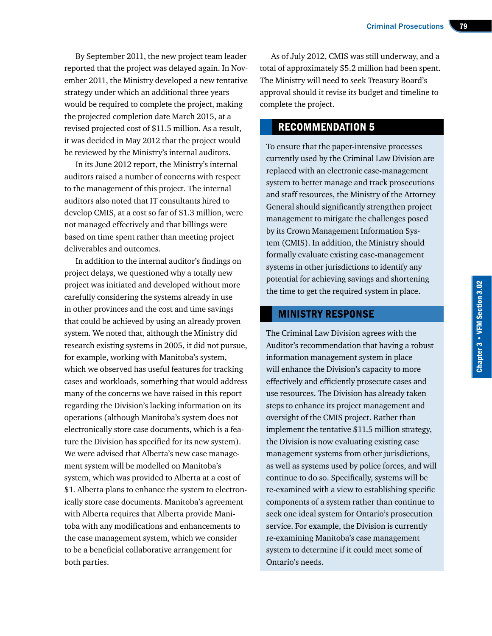By September 2011, the new project team leader reported that the project was delayed again. In November 2011, the Ministry developed a new tentative strategy under which an additional three years would be required to complete the project, making the projected completion date March 2015, at a revised projected cost of \$11.5 million. As a result, it was decided in May 2012 that the project would be reviewed by the Ministry's internal auditors.

In its June 2012 report, the Ministry's internal auditors raised a number of concerns with respect to the management of this project. The internal auditors also noted that IT consultants hired to develop CMIS, at a cost so far of \$1.3 million, were not managed effectively and that billings were based on time spent rather than meeting project deliverables and outcomes.

In addition to the internal auditor's findings on project delays, we questioned why a totally new project was initiated and developed without more carefully considering the systems already in use in other provinces and the cost and time savings that could be achieved by using an already proven system. We noted that, although the Ministry did research existing systems in 2005, it did not pursue, for example, working with Manitoba's system, which we observed has useful features for tracking cases and workloads, something that would address many of the concerns we have raised in this report regarding the Division's lacking information on its operations (although Manitoba's system does not electronically store case documents, which is a feature the Division has specified for its new system). We were advised that Alberta's new case management system will be modelled on Manitoba's system, which was provided to Alberta at a cost of \$1. Alberta plans to enhance the system to electronically store case documents. Manitoba's agreement with Alberta requires that Alberta provide Manitoba with any modifications and enhancements to the case management system, which we consider to be a beneficial collaborative arrangement for both parties.

As of July 2012, CMIS was still underway, and a total of approximately \$5.2 million had been spent. The Ministry will need to seek Treasury Board's approval should it revise its budget and timeline to complete the project.

#### RECOMMENDATION 5

To ensure that the paper-intensive processes currently used by the Criminal Law Division are replaced with an electronic case-management system to better manage and track prosecutions and staff resources, the Ministry of the Attorney General should significantly strengthen project management to mitigate the challenges posed by its Crown Management Information System (CMIS). In addition, the Ministry should formally evaluate existing case-management systems in other jurisdictions to identify any potential for achieving savings and shortening the time to get the required system in place.

#### MINISTRY RESPONSE

The Criminal Law Division agrees with the Auditor's recommendation that having a robust information management system in place will enhance the Division's capacity to more effectively and efficiently prosecute cases and use resources. The Division has already taken steps to enhance its project management and oversight of the CMIS project. Rather than implement the tentative \$11.5 million strategy, the Division is now evaluating existing case management systems from other jurisdictions, as well as systems used by police forces, and will continue to do so. Specifically, systems will be re-examined with a view to establishing specific components of a system rather than continue to seek one ideal system for Ontario's prosecution service. For example, the Division is currently re-examining Manitoba's case management system to determine if it could meet some of Ontario's needs.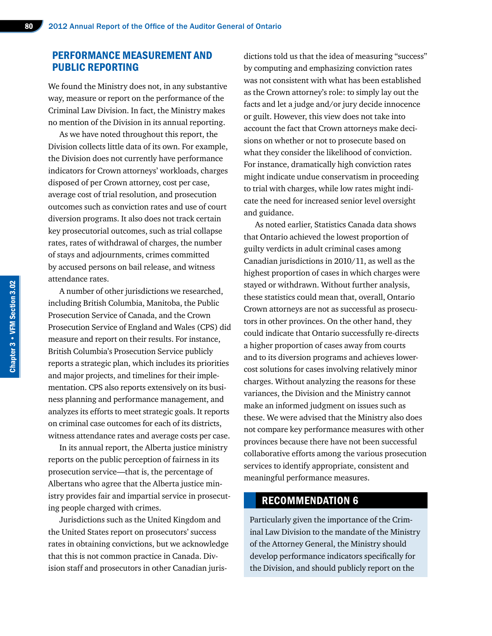#### PERFORMANCE MEASUREMENT AND PUBLIC REPORTING

We found the Ministry does not, in any substantive way, measure or report on the performance of the Criminal Law Division. In fact, the Ministry makes no mention of the Division in its annual reporting.

As we have noted throughout this report, the Division collects little data of its own. For example, the Division does not currently have performance indicators for Crown attorneys' workloads, charges disposed of per Crown attorney, cost per case, average cost of trial resolution, and prosecution outcomes such as conviction rates and use of court diversion programs. It also does not track certain key prosecutorial outcomes, such as trial collapse rates, rates of withdrawal of charges, the number of stays and adjournments, crimes committed by accused persons on bail release, and witness attendance rates.

A number of other jurisdictions we researched, including British Columbia, Manitoba, the Public Prosecution Service of Canada, and the Crown Prosecution Service of England and Wales (CPS) did measure and report on their results. For instance, British Columbia's Prosecution Service publicly reports a strategic plan, which includes its priorities and major projects, and timelines for their implementation. CPS also reports extensively on its business planning and performance management, and analyzes its efforts to meet strategic goals. It reports on criminal case outcomes for each of its districts, witness attendance rates and average costs per case.

In its annual report, the Alberta justice ministry reports on the public perception of fairness in its prosecution service—that is, the percentage of Albertans who agree that the Alberta justice ministry provides fair and impartial service in prosecuting people charged with crimes.

Jurisdictions such as the United Kingdom and the United States report on prosecutors' success rates in obtaining convictions, but we acknowledge that this is not common practice in Canada. Division staff and prosecutors in other Canadian jurisdictions told us that the idea of measuring "success" by computing and emphasizing conviction rates was not consistent with what has been established as the Crown attorney's role: to simply lay out the facts and let a judge and/or jury decide innocence or guilt. However, this view does not take into account the fact that Crown attorneys make decisions on whether or not to prosecute based on what they consider the likelihood of conviction. For instance, dramatically high conviction rates might indicate undue conservatism in proceeding to trial with charges, while low rates might indicate the need for increased senior level oversight and guidance.

As noted earlier, Statistics Canada data shows that Ontario achieved the lowest proportion of guilty verdicts in adult criminal cases among Canadian jurisdictions in 2010/11, as well as the highest proportion of cases in which charges were stayed or withdrawn. Without further analysis, these statistics could mean that, overall, Ontario Crown attorneys are not as successful as prosecutors in other provinces. On the other hand, they could indicate that Ontario successfully re-directs a higher proportion of cases away from courts and to its diversion programs and achieves lowercost solutions for cases involving relatively minor charges. Without analyzing the reasons for these variances, the Division and the Ministry cannot make an informed judgment on issues such as these. We were advised that the Ministry also does not compare key performance measures with other provinces because there have not been successful collaborative efforts among the various prosecution services to identify appropriate, consistent and meaningful performance measures.

#### RECOMMENDATION 6

Particularly given the importance of the Criminal Law Division to the mandate of the Ministry of the Attorney General, the Ministry should develop performance indicators specifically for the Division, and should publicly report on the